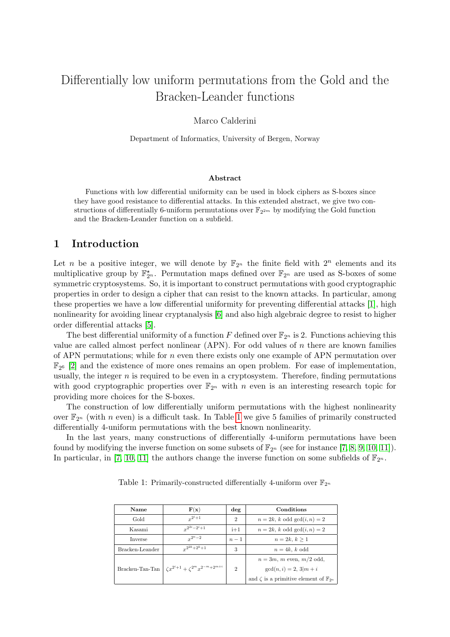# Differentially low uniform permutations from the Gold and the Bracken-Leander functions

#### Marco Calderini

Department of Informatics, University of Bergen, Norway

#### Abstract

Functions with low differential uniformity can be used in block ciphers as S-boxes since they have good resistance to differential attacks. In this extended abstract, we give two constructions of differentially 6-uniform permutations over  $\mathbb{F}_{2^{2m}}$  by modifying the Gold function and the Bracken-Leander function on a subfield.

# 1 Introduction

Let *n* be a positive integer, we will denote by  $\mathbb{F}_{2^n}$  the finite field with  $2^n$  elements and its multiplicative group by  $\mathbb{F}_{2^n}^{\star}$ . Permutation maps defined over  $\mathbb{F}_{2^n}$  are used as S-boxes of some symmetric cryptosystems. So, it is important to construct permutations with good cryptographic properties in order to design a cipher that can resist to the known attacks. In particular, among these properties we have a low differential uniformity for preventing differential attacks [\[1\]](#page-4-0), high nonlinearity for avoiding linear cryptanalysis [\[6\]](#page-4-1) and also high algebraic degree to resist to higher order differential attacks [\[5\]](#page-4-2).

The best differential uniformity of a function F defined over  $\mathbb{F}_{2^n}$  is 2. Functions achieving this value are called almost perfect nonlinear (APN). For odd values of n there are known families of APN permutations; while for  $n$  even there exists only one example of APN permutation over  $\mathbb{F}_{2^6}$  [\[2\]](#page-4-3) and the existence of more ones remains an open problem. For ease of implementation, usually, the integer  $n$  is required to be even in a cryptosystem. Therefore, finding permutations with good cryptographic properties over  $\mathbb{F}_{2^n}$  with n even is an interesting research topic for providing more choices for the S-boxes.

The construction of low differentially uniform permutations with the highest nonlinearity over  $\mathbb{F}_{2^n}$  (with n even) is a difficult task. In Table [1](#page-0-0) we give 5 families of primarily constructed differentially 4-uniform permutations with the best known nonlinearity.

<span id="page-0-0"></span>In the last years, many constructions of differentially 4-uniform permutations have been found by modifying the inverse function on some subsets of  $\mathbb{F}_{2^n}$  (see for instance [\[7,](#page-4-4) [8,](#page-4-5) [9,](#page-4-6) [10,](#page-4-7) [11\]](#page-5-0)). In particular, in [\[7,](#page-4-4) [10,](#page-4-7) [11\]](#page-5-0) the authors change the inverse function on some subfields of  $\mathbb{F}_{2^n}$ .

| Name    | F(x)               | $\deg$ | Conditions                       |
|---------|--------------------|--------|----------------------------------|
| Gold    | $r^{2^i+1}$        | 2      | $n = 2k$ , k odd $gcd(i, n) = 2$ |
| Kasami  | $x^{2^{2i}-2^i+1}$ | $i+1$  | $n = 2k$ , k odd $gcd(i, n) = 2$ |
| Inverse | $r^{2^n-2}$        | $n-1$  | $n = 2k, k > 1$                  |

 $\begin{array}{c|c}\n3 & n = 4k, k \text{ odd}\n\end{array}$ 

2  $gcd(n, i) = 2, 3|m + i$ 

 $n = 3m$ , m even,  $m/2$  odd,

and  $\zeta$  is a primitive element of  $\mathbb{F}_2$ 

 $2^{2k}+2^k+1$ 

 $x^{i+1} + \zeta^{2^m} x^{2^{-m} + 2^{m+i}}$ 

Bracken-Leander

Bracken-Tan-Tan

Table 1: Primarily-constructed differentially 4-uniform over  $\mathbb{F}_{2^n}$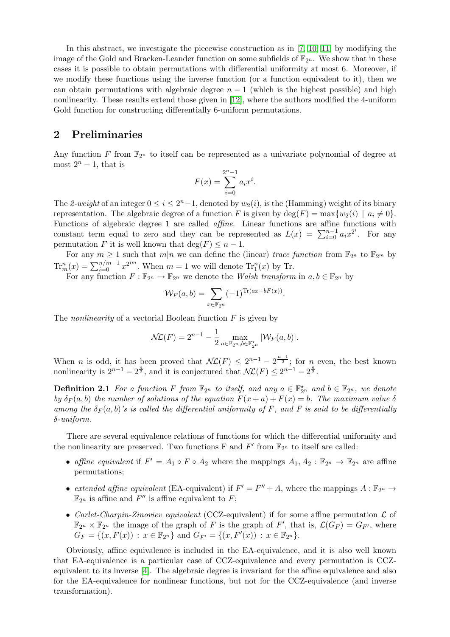In this abstract, we investigate the piecewise construction as in [\[7,](#page-4-4) [10,](#page-4-7) [11\]](#page-5-0) by modifying the image of the Gold and Bracken-Leander function on some subfields of  $\mathbb{F}_{2^n}$ . We show that in these cases it is possible to obtain permutations with differential uniformity at most 6. Moreover, if we modify these functions using the inverse function (or a function equivalent to it), then we can obtain permutations with algebraic degree  $n - 1$  (which is the highest possible) and high nonlinearity. These results extend those given in [\[12\]](#page-5-1), where the authors modified the 4-uniform Gold function for constructing differentially 6-uniform permutations.

## 2 Preliminaries

Any function F from  $\mathbb{F}_{2^n}$  to itself can be represented as a univariate polynomial of degree at most  $2^n - 1$ , that is

$$
F(x) = \sum_{i=0}^{2^{n}-1} a_{i}x^{i}.
$$

The 2-weight of an integer  $0 \le i \le 2<sup>n</sup>-1$ , denoted by  $w_2(i)$ , is the (Hamming) weight of its binary representation. The algebraic degree of a function F is given by  $\deg(F) = \max\{w_2(i) \mid a_i \neq 0\}.$ Functions of algebraic degree 1 are called affine. Linear functions are affine functions with constant term equal to zero and they can be represented as  $L(x) = \sum_{i=0}^{n-1} a_i x^{2^i}$ . For any permutation F it is well known that  $\deg(F) \leq n - 1$ .

For any  $m \geq 1$  such that  $m|n$  we can define the (linear) trace function from  $\mathbb{F}_{2^n}$  to  $\mathbb{F}_{2^m}$  by  $\text{Tr}_{m}^{n}(x) = \sum_{i=0}^{n/m-1} x^{2^{i m}}$ . When  $m = 1$  we will denote  $\text{Tr}_{1}^{n}(x)$  by Tr.

For any function  $F : \mathbb{F}_{2^n} \to \mathbb{F}_{2^n}$  we denote the Walsh transform in  $a, b \in \mathbb{F}_{2^n}$  by

$$
\mathcal{W}_F(a,b) = \sum_{x \in \mathbb{F}_{2^n}} (-1)^{\text{Tr}(ax + bF(x))}.
$$

The *nonlinearity* of a vectorial Boolean function  $F$  is given by

$$
\mathcal{NL}(F) = 2^{n-1} - \frac{1}{2} \max_{a \in \mathbb{F}_{2^n}, b \in \mathbb{F}_{2^n}^*} |\mathcal{W}_F(a, b)|.
$$

When *n* is odd, it has been proved that  $\mathcal{NL}(F) \leq 2^{n-1} - 2^{\frac{n-1}{2}}$ ; for *n* even, the best known nonlinearity is  $2^{n-1} - 2^{\frac{n}{2}}$ , and it is conjectured that  $\mathcal{NL}(F) \leq 2^{n-1} - 2^{\frac{n}{2}}$ .

**Definition 2.1** For a function F from  $\mathbb{F}_{2^n}$  to itself, and any  $a \in \mathbb{F}_{2^n}^{\star}$  and  $b \in \mathbb{F}_{2^n}$ , we denote by  $\delta_F(a, b)$  the number of solutions of the equation  $F(x + a) + F(x) = b$ . The maximum value  $\delta$ among the  $\delta_F(a, b)$ 's is called the differential uniformity of F, and F is said to be differentially δ-uniform.

There are several equivalence relations of functions for which the differential uniformity and the nonlinearity are preserved. Two functions F and  $F'$  from  $\mathbb{F}_{2^n}$  to itself are called:

- affine equivalent if  $F' = A_1 \circ F \circ A_2$  where the mappings  $A_1, A_2 : \mathbb{F}_{2^n} \to \mathbb{F}_{2^n}$  are affine permutations;
- extended affine equivalent (EA-equivalent) if  $F' = F'' + A$ , where the mappings  $A : \mathbb{F}_{2^n} \to$  $\mathbb{F}_{2^n}$  is affine and  $F''$  is affine equivalent to F;
- Carlet-Charpin-Zinoviev equivalent (CCZ-equivalent) if for some affine permutation  $\mathcal L$  of  $\mathbb{F}_{2^n} \times \mathbb{F}_{2^n}$  the image of the graph of F is the graph of F', that is,  $\mathcal{L}(G_F) = G_{F'}$ , where  $G_F = \{(x, F(x)) : x \in \mathbb{F}_{2^n}\}\$ and  $G_{F'} = \{(x, F'(x)) : x \in \mathbb{F}_{2^n}\}.$

Obviously, affine equivalence is included in the EA-equivalence, and it is also well known that EA-equivalence is a particular case of CCZ-equivalence and every permutation is CCZequivalent to its inverse [\[4\]](#page-4-8). The algebraic degree is invariant for the affine equivalence and also for the EA-equivalence for nonlinear functions, but not for the CCZ-equivalence (and inverse transformation).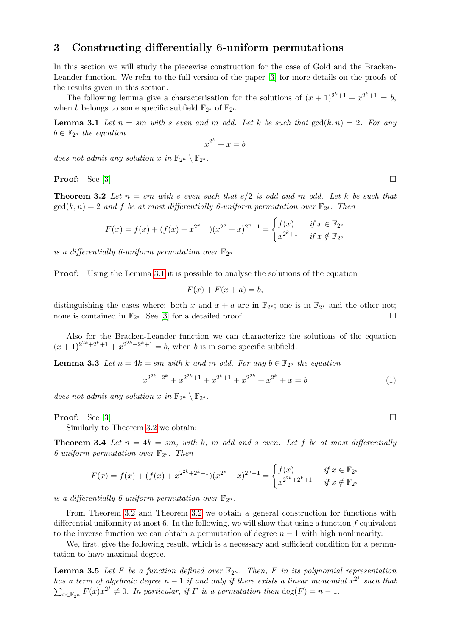# 3 Constructing differentially 6-uniform permutations

In this section we will study the piecewise construction for the case of Gold and the Bracken-Leander function. We refer to the full version of the paper [\[3\]](#page-4-9) for more details on the proofs of the results given in this section.

The following lemma give a characterisation for the solutions of  $(x + 1)^{2^k+1} + x^{2^k+1} = b$ , when b belongs to some specific subfield  $\mathbb{F}_{2^s}$  of  $\mathbb{F}_{2^n}$ .

**Lemma 3.1** Let  $n = sm$  with s even and m odd. Let k be such that  $gcd(k, n) = 2$ . For any  $b \in \mathbb{F}_{2^s}$  the equation

<span id="page-2-0"></span>
$$
x^{2^k} + x = b
$$

does not admit any solution x in  $\mathbb{F}_{2^n} \setminus \mathbb{F}_{2^s}$ .

**Proof:** See [\[3\]](#page-4-9).

<span id="page-2-1"></span>**Theorem 3.2** Let  $n = sm$  with s even such that  $s/2$  is odd and m odd. Let k be such that  $gcd(k, n) = 2$  and f be at most differentially 6-uniform permutation over  $\mathbb{F}_{2^s}$ . Then

$$
F(x) = f(x) + (f(x) + x^{2^k+1})(x^{2^s} + x)^{2^n-1} = \begin{cases} f(x) & \text{if } x \in \mathbb{F}_{2^s} \\ x^{2^k+1} & \text{if } x \notin \mathbb{F}_{2^s} \end{cases}
$$

is a differentially 6-uniform permutation over  $\mathbb{F}_{2^n}$ .

**Proof:** Using the Lemma [3.1](#page-2-0) it is possible to analyse the solutions of the equation

$$
F(x) + F(x + a) = b,
$$

distinguishing the cases where: both x and  $x + a$  are in  $\mathbb{F}_{2^s}$ ; one is in  $\mathbb{F}_{2^s}$  and the other not; none is contained in  $\mathbb{F}_{2^s}$ . See [\[3\]](#page-4-9) for a detailed proof.

Also for the Bracken-Leander function we can characterize the solutions of the equation  $(x+1)^{2^{2k}+2^k+1}+x^{2^{2k}+2^k+1}=b$ , when b is in some specific subfield.

**Lemma 3.3** Let  $n = 4k = sm$  with k and m odd. For any  $b \in \mathbb{F}_{2^s}$  the equation

$$
x^{2^{2k}+2^k} + x^{2^{2k}+1} + x^{2^k+1} + x^{2^{2k}} + x^{2^k} + x = b
$$
 (1)

does not admit any solution x in  $\mathbb{F}_{2^n} \setminus \mathbb{F}_{2^s}$ .

**Proof:** See [\[3\]](#page-4-9).

Similarly to Theorem [3.2](#page-2-1) we obtain:

**Theorem 3.4** Let  $n = 4k = sm$ , with k, m odd and s even. Let f be at most differentially 6-uniform permutation over  $\mathbb{F}_{2^s}$ . Then

$$
F(x) = f(x) + (f(x) + x^{2^{2k} + 2^k + 1})(x^{2^s} + x)^{2^n - 1} = \begin{cases} f(x) & \text{if } x \in \mathbb{F}_{2^s} \\ x^{2^{2k} + 2^k + 1} & \text{if } x \notin \mathbb{F}_{2^s} \end{cases}
$$

is a differentially 6-uniform permutation over  $\mathbb{F}_{2^n}$ .

From Theorem [3.2](#page-2-1) and Theorem [3.2](#page-2-1) we obtain a general construction for functions with differential uniformity at most 6. In the following, we will show that using a function  $f$  equivalent to the inverse function we can obtain a permutation of degree  $n-1$  with high nonlinearity.

We, first, give the following result, which is a necessary and sufficient condition for a permutation to have maximal degree.

<span id="page-2-2"></span>**Lemma 3.5** Let F be a function defined over  $\mathbb{F}_{2^n}$ . Then, F in its polynomial representation has a term of algebraic degree  $n-1$  if and only if there exists a linear monomial  $x^{2^j}$  such that  $\sum_{x \in \mathbb{F}_{2^n}} F(x)x^{2^j} \neq 0$ . In particular, if F is a permutation then  $\deg(F) = n - 1$ .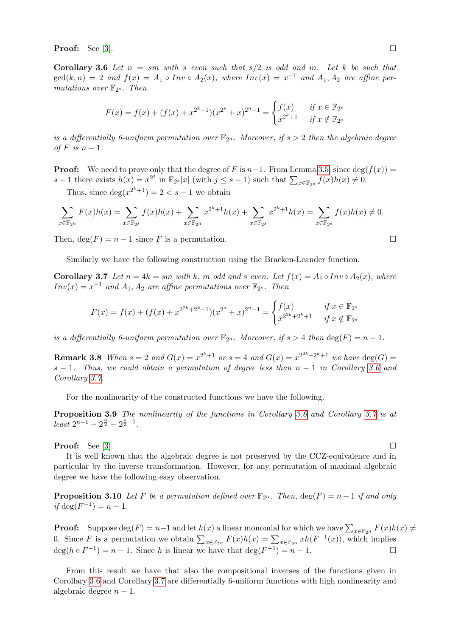<span id="page-3-0"></span>**Proof:** See [\[3\]](#page-4-9).

**Corollary 3.6** Let  $n = sm$  with s even such that  $s/2$  is odd and m. Let k be such that  $gcd(k, n) = 2$  and  $f(x) = A_1 \circ Inv \circ A_2(x)$ , where  $Inv(x) = x^{-1}$  and  $A_1, A_2$  are affine permutations over  $\mathbb{F}_{2^s}$ . Then

$$
F(x) = f(x) + (f(x) + x^{2^k+1})(x^{2^s} + x)^{2^n-1} = \begin{cases} f(x) & \text{if } x \in \mathbb{F}_{2^s} \\ x^{2^k+1} & \text{if } x \notin \mathbb{F}_{2^s} \end{cases}
$$

is a differentially 6-uniform permutation over  $\mathbb{F}_{2^n}$ . Moreover, if  $s > 2$  then the algebraic degree of F is  $n-1$ .

**Proof:** We need to prove only that the degree of F is  $n-1$ . From Lemma [3.5,](#page-2-2) since  $\deg(f(x))$  = s − 1 there exists  $h(x) = x^{2^j}$  in  $\mathbb{F}_{2^s}[x]$  (with  $j \leq s - 1$ ) such that  $\sum_{x \in \mathbb{F}_{2^s}} f(x)h(x) \neq 0$ .

Thus, since  $\deg(x^{2^k+1}) = 2 < s - 1$  we obtain

$$
\sum_{x \in \mathbb{F}_{2^n}} F(x)h(x) = \sum_{x \in \mathbb{F}_{2^s}} f(x)h(x) + \sum_{x \in \mathbb{F}_{2^n}} x^{2^k + 1}h(x) + \sum_{x \in \mathbb{F}_{2^s}} x^{2^k + 1}h(x) = \sum_{x \in \mathbb{F}_{2^s}} f(x)h(x) \neq 0.
$$

Then,  $\deg(F) = n - 1$  since F is a permutation.

Similarly we have the following construction using the Bracken-Leander function.

**Corollary 3.7** Let  $n = 4k = sm$  with k, m odd and s even. Let  $f(x) = A_1 \circ Inv \circ A_2(x)$ , where  $Inv(x) = x^{-1}$  and  $A_1, A_2$  are affine permutations over  $\mathbb{F}_{2^s}$ . Then

$$
F(x) = f(x) + (f(x) + x^{2^{2k} + 2^k + 1})(x^{2^s} + x)^{2^n - 1} = \begin{cases} f(x) & \text{if } x \in \mathbb{F}_{2^s} \\ x^{2^{2k} + 2^k + 1} & \text{if } x \notin \mathbb{F}_{2^s} \end{cases}
$$

is a differentially 6-uniform permutation over  $\mathbb{F}_{2^n}$ . Moreover, if  $s > 4$  then  $\deg(F) = n - 1$ .

**Remark 3.8** When  $s = 2$  and  $G(x) = x^{2^k+1}$  or  $s = 4$  and  $G(x) = x^{2^{2k}+2^k+1}$  we have  $\deg(G) =$ s − 1. Thus, we could obtain a permutation of degree less than  $n-1$  in Corollary [3.6](#page-3-0) and Corollary [3.7.](#page-3-1)

For the nonlinearity of the constructed functions we have the following.

Proposition 3.9 The nonlinearity of the functions in Corollary [3.6](#page-3-0) and Corollary [3.7](#page-3-1) is at  $\arctan 2^{n-1} - 2^{\frac{n}{2}} - 2^{\frac{s}{2}+1}.$ 

**Proof:** See [\[3\]](#page-4-9).

It is well known that the algebraic degree is not preserved by the CCZ-equivalence and in particular by the inverse transformation. However, for any permutation of maximal algebraic degree we have the following easy observation.

**Proposition 3.10** Let F be a permutation defined over  $\mathbb{F}_{2^n}$ . Then,  $\deg(F) = n - 1$  if and only if  $deg(F^{-1}) = n - 1$ .

**Proof:** Suppose  $\deg(F) = n-1$  and let  $h(x)$  a linear monomial for which we have  $\sum_{x \in \mathbb{F}_{2^n}} F(x)h(x) \neq$ 0. Since F is a permutation we obtain  $\sum_{x \in \mathbb{F}_{2^n}} F(x)h(x) = \sum_{x \in \mathbb{F}_{2^n}} xh(F^{-1}(x))$ , which implies  $deg(h \circ F^{-1}) = n - 1$ . Since h is linear we have that  $deg(F^{-1}) = n - 1$ .

From this result we have that also the compositional inverses of the functions given in Corollary [3.6](#page-3-0) and Corollary [3.7](#page-3-1) are differentially 6-uniform functions with high nonlinearity and algebraic degree  $n-1$ .

<span id="page-3-1"></span>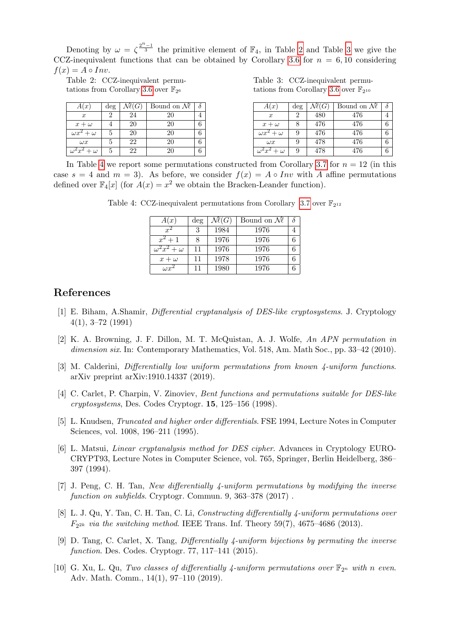Denoting by  $\omega = \zeta^{\frac{2^n-1}{3}}$  the primitive element of  $\mathbb{F}_4$ , in Table [2](#page-4-10) and Table [3](#page-4-11) we give the CCZ-inequivalent functions that can be obtained by Corollary [3.6](#page-3-0) for  $n = 6, 10$  considering  $f(x) = A \circ Inv.$ 

<span id="page-4-10"></span>Table 2: CCZ-inequivalent permu-tations from Corollary [3.6](#page-3-0) over  $\mathbb{F}_{2^6}$ 

<span id="page-4-11"></span>Table 3: CCZ-inequivalent permu-tations from Corollary [3.6](#page-3-0) over  $\mathbb{F}_{2^{10}}$ 

| A(x)                        | deg    | $\mathcal{N}\!\ell(G)$ | Bound on $\mathcal{M}$ | $\partial$ |
|-----------------------------|--------|------------------------|------------------------|------------|
| $\boldsymbol{x}$            | റ<br>∠ | 24                     | 20                     | 4          |
| $x+\omega$                  | 4      | 20                     | 20                     | 6          |
| $\omega x^2$ .<br>$+\omega$ | G      | 20                     | 20                     | 6          |
| $\omega x$                  | G      | 22                     | 20                     | 6          |
| $\omega^2 x^2$<br>$+\omega$ | G      | 22                     | 20                     | 6          |

<span id="page-4-12"></span>In Table [4](#page-4-12) we report some permutations constructed from Corollary [3.7](#page-3-1) for  $n = 12$  (in this case  $s = 4$  and  $m = 3$ ). As before, we consider  $f(x) = A \circ Inv$  with A affine permutations defined over  $\mathbb{F}_4[x]$  (for  $A(x) = x^2$  we obtain the Bracken-Leander function).

Table 4: CCZ-inequivalent permutations from Corollary [3.7](#page-3-1) over  $\mathbb{F}_{2^{12}}$ 

| A(x)                        | deg | $\mathcal{N}\!\ell(G)$ | Bound on $\mathcal{M}$ |  |
|-----------------------------|-----|------------------------|------------------------|--|
| $r^2$                       | 3   | 1984                   | 1976                   |  |
| $x^2+1$                     | 8   | 1976                   | 1976                   |  |
| $\omega^2 x^2$<br>$+\omega$ | 11  | 1976                   | 1976                   |  |
| $x+\omega$                  | 11  | 1978                   | 1976                   |  |
| $\omega x^2$                | 11  | 1980                   | 1976                   |  |

## References

- <span id="page-4-0"></span>[1] E. Biham, A.Shamir, Differential cryptanalysis of DES-like cryptosystems. J. Cryptology 4(1), 3–72 (1991)
- <span id="page-4-3"></span>[2] K. A. Browning, J. F. Dillon, M. T. McQuistan, A. J. Wolfe, An APN permutation in dimension six. In: Contemporary Mathematics, Vol. 518, Am. Math Soc., pp. 33–42 (2010).
- <span id="page-4-9"></span>[3] M. Calderini, Differentially low uniform permutations from known 4-uniform functions. arXiv preprint arXiv:1910.14337 (2019).
- <span id="page-4-8"></span>[4] C. Carlet, P. Charpin, V. Zinoviev, Bent functions and permutations suitable for DES-like cryptosystems, Des. Codes Cryptogr. 15, 125–156 (1998).
- <span id="page-4-2"></span>[5] L. Knudsen, *Truncated and higher order differentials*. FSE 1994, Lecture Notes in Computer Sciences, vol. 1008, 196–211 (1995).
- <span id="page-4-1"></span>[6] L. Matsui, Linear cryptanalysis method for DES cipher. Advances in Cryptology EURO-CRYPT93, Lecture Notes in Computer Science, vol. 765, Springer, Berlin Heidelberg, 386– 397 (1994).
- <span id="page-4-4"></span>[7] J. Peng, C. H. Tan, New differentially 4-uniform permutations by modifying the inverse function on subfields. Cryptogr. Commun. 9, 363–378 (2017).
- <span id="page-4-5"></span>[8] L. J. Qu, Y. Tan, C. H. Tan, C. Li, Constructing differentially 4-uniform permutations over  $F_{2^{2k}}$  via the switching method. IEEE Trans. Inf. Theory 59(7), 4675-4686 (2013).
- <span id="page-4-6"></span>[9] D. Tang, C. Carlet, X. Tang, Differentially 4-uniform bijections by permuting the inverse function. Des. Codes. Cryptogr. 77, 117–141 (2015).
- <span id="page-4-7"></span>[10] G. Xu, L. Qu, Two classes of differentially 4-uniform permutations over  $\mathbb{F}_{2^n}$  with n even. Adv. Math. Comm., 14(1), 97–110 (2019).